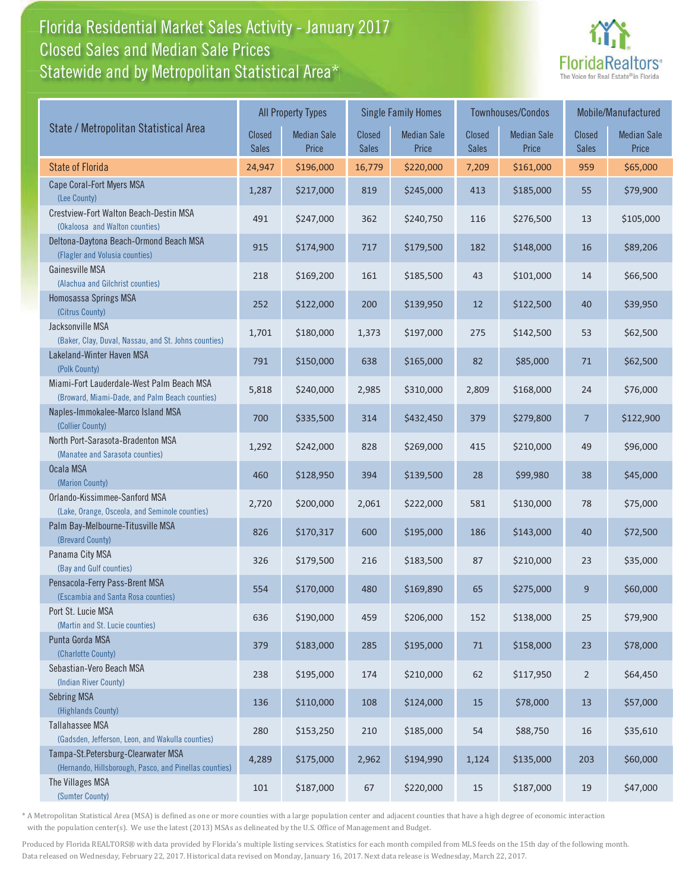## Florida Residential Market Sales Activity - January 2017 Florida Residential Market Sales Activity Statewide and by Metropolitan Statistical Area $^{\star}$ Closed Sales and Median Sale Prices



|                                                                                              |                        | <b>All Property Types</b>   |                               | <b>Single Family Homes</b>  |                               | Townhouses/Condos           | Mobile/Manufactured           |                             |
|----------------------------------------------------------------------------------------------|------------------------|-----------------------------|-------------------------------|-----------------------------|-------------------------------|-----------------------------|-------------------------------|-----------------------------|
| State / Metropolitan Statistical Area                                                        | Closed<br><b>Sales</b> | <b>Median Sale</b><br>Price | <b>Closed</b><br><b>Sales</b> | <b>Median Sale</b><br>Price | <b>Closed</b><br><b>Sales</b> | <b>Median Sale</b><br>Price | <b>Closed</b><br><b>Sales</b> | <b>Median Sale</b><br>Price |
| <b>State of Florida</b>                                                                      | 24,947                 | \$196,000                   | 16,779                        | \$220,000                   | 7,209                         | \$161,000                   | 959                           | \$65,000                    |
| Cape Coral-Fort Myers MSA<br>(Lee County)                                                    | 1,287                  | \$217,000                   | 819                           | \$245,000                   | 413                           | \$185,000                   | 55                            | \$79,900                    |
| Crestview-Fort Walton Beach-Destin MSA<br>(Okaloosa and Walton counties)                     | 491                    | \$247,000                   | 362                           | \$240,750                   | 116                           | \$276,500                   | 13                            | \$105,000                   |
| Deltona-Daytona Beach-Ormond Beach MSA<br>(Flagler and Volusia counties)                     | 915                    | \$174,900                   | 717                           | \$179,500                   | 182                           | \$148,000                   | 16                            | \$89,206                    |
| Gainesville MSA<br>(Alachua and Gilchrist counties)                                          | 218                    | \$169,200                   | 161                           | \$185,500                   | 43                            | \$101,000                   | 14                            | \$66,500                    |
| Homosassa Springs MSA<br>(Citrus County)                                                     | 252                    | \$122,000                   | 200                           | \$139,950                   | 12                            | \$122,500                   | 40                            | \$39,950                    |
| Jacksonville MSA<br>(Baker, Clay, Duval, Nassau, and St. Johns counties)                     | 1,701                  | \$180,000                   | 1,373                         | \$197,000                   | 275                           | \$142,500                   | 53                            | \$62,500                    |
| Lakeland-Winter Haven MSA<br>(Polk County)                                                   | 791                    | \$150,000                   | 638                           | \$165,000                   | 82                            | \$85,000                    | 71                            | \$62,500                    |
| Miami-Fort Lauderdale-West Palm Beach MSA<br>(Broward, Miami-Dade, and Palm Beach counties)  | 5,818                  | \$240,000                   | 2,985                         | \$310,000                   | 2,809                         | \$168,000                   | 24                            | \$76,000                    |
| Naples-Immokalee-Marco Island MSA<br>(Collier County)                                        | 700                    | \$335,500                   | 314                           | \$432,450                   | 379                           | \$279,800                   | $\overline{7}$                | \$122,900                   |
| North Port-Sarasota-Bradenton MSA<br>(Manatee and Sarasota counties)                         | 1,292                  | \$242,000                   | 828                           | \$269,000                   | 415                           | \$210,000                   | 49                            | \$96,000                    |
| Ocala MSA<br>(Marion County)                                                                 | 460                    | \$128,950                   | 394                           | \$139,500                   | 28                            | \$99,980                    | 38                            | \$45,000                    |
| Orlando-Kissimmee-Sanford MSA<br>(Lake, Orange, Osceola, and Seminole counties)              | 2,720                  | \$200,000                   | 2,061                         | \$222,000                   | 581                           | \$130,000                   | 78                            | \$75,000                    |
| Palm Bay-Melbourne-Titusville MSA<br>(Brevard County)                                        | 826                    | \$170,317                   | 600                           | \$195,000                   | 186                           | \$143,000                   | 40                            | \$72,500                    |
| Panama City MSA<br>(Bay and Gulf counties)                                                   | 326                    | \$179,500                   | 216                           | \$183,500                   | 87                            | \$210,000                   | 23                            | \$35,000                    |
| Pensacola-Ferry Pass-Brent MSA<br>(Escambia and Santa Rosa counties)                         | 554                    | \$170,000                   | 480                           | \$169,890                   | 65                            | \$275,000                   | 9                             | \$60,000                    |
| Port St. Lucie MSA<br>(Martin and St. Lucie counties)                                        | 636                    | \$190,000                   | 459                           | \$206,000                   | 152                           | \$138,000                   | 25                            | \$79,900                    |
| Punta Gorda MSA<br>(Charlotte County)                                                        | 379                    | \$183,000                   | 285                           | \$195,000                   | 71                            | \$158,000                   | 23                            | \$78,000                    |
| Sebastian-Vero Beach MSA<br>(Indian River County)                                            | 238                    | \$195,000                   | 174                           | \$210,000                   | 62                            | \$117,950                   | $\overline{2}$                | \$64,450                    |
| <b>Sebring MSA</b><br>(Highlands County)                                                     | 136                    | \$110,000                   | 108                           | \$124,000                   | 15                            | \$78,000                    | 13                            | \$57,000                    |
| Tallahassee MSA<br>(Gadsden, Jefferson, Leon, and Wakulla counties)                          | 280                    | \$153,250                   | 210                           | \$185,000                   | 54                            | \$88,750                    | 16                            | \$35,610                    |
| Tampa-St.Petersburg-Clearwater MSA<br>(Hernando, Hillsborough, Pasco, and Pinellas counties) | 4,289                  | \$175,000                   | 2,962                         | \$194,990                   | 1,124                         | \$135,000                   | 203                           | \$60,000                    |
| The Villages MSA<br>(Sumter County)                                                          | 101                    | \$187,000                   | 67                            | \$220,000                   | $15\,$                        | \$187,000                   | 19                            | \$47,000                    |

\* A Metropolitan Statistical Area (MSA) is defined as one or more counties with a large population center and adjacent counties that have a high degree of economic interaction with the population center(s). We use the latest (2013) MSAs as delineated by the U.S. Office of Management and Budget.

Produced by Florida REALTORS® with data provided by Florida's multiple listing services. Statistics for each month compiled from MLS feeds on the 15th day of the following month. Data released on Wednesday, February 22, 2017. Historical data revised on Monday, January 16, 2017. Next data release is Wednesday, March 22, 2017.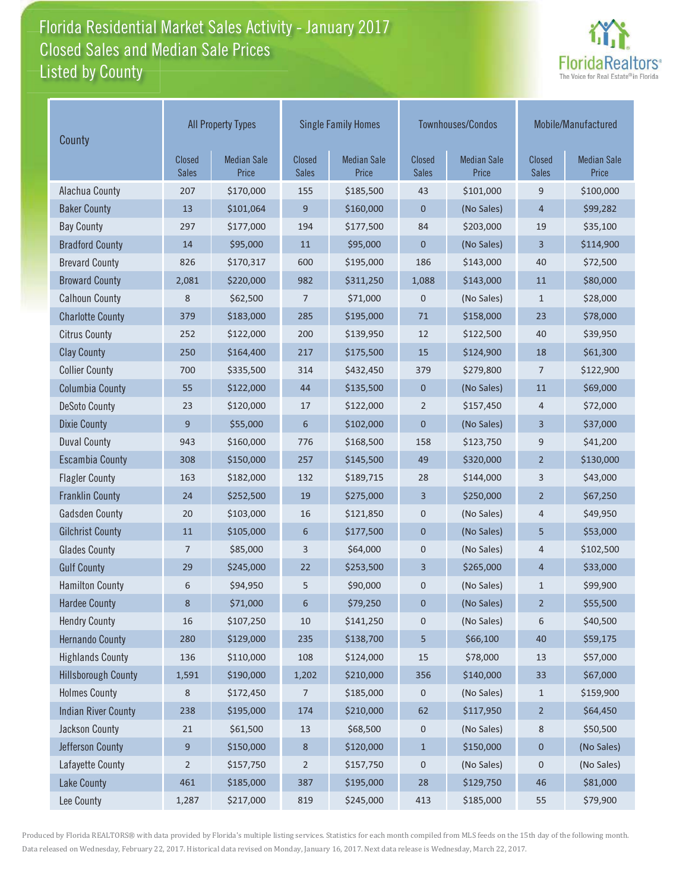## Florida Residential Market Sales Activity - January 2017 Florida Residential Market Sales Activity Listed by County Closed Sales and Median Sale Prices



| County                     | <b>All Property Types</b> |                             |                        | <b>Single Family Homes</b>  |                               | Townhouses/Condos           | Mobile/Manufactured           |                             |
|----------------------------|---------------------------|-----------------------------|------------------------|-----------------------------|-------------------------------|-----------------------------|-------------------------------|-----------------------------|
|                            | Closed<br><b>Sales</b>    | <b>Median Sale</b><br>Price | Closed<br><b>Sales</b> | <b>Median Sale</b><br>Price | <b>Closed</b><br><b>Sales</b> | <b>Median Sale</b><br>Price | <b>Closed</b><br><b>Sales</b> | <b>Median Sale</b><br>Price |
| Alachua County             | 207                       | \$170,000                   | 155                    | \$185,500                   | 43                            | \$101,000                   | 9                             | \$100,000                   |
| <b>Baker County</b>        | 13                        | \$101,064                   | $9$                    | \$160,000                   | $\pmb{0}$                     | (No Sales)                  | $\overline{4}$                | \$99,282                    |
| <b>Bay County</b>          | 297                       | \$177,000                   | 194                    | \$177,500                   | 84                            | \$203,000                   | 19                            | \$35,100                    |
| <b>Bradford County</b>     | 14                        | \$95,000                    | 11                     | \$95,000                    | $\mathbf 0$                   | (No Sales)                  | 3                             | \$114,900                   |
| <b>Brevard County</b>      | 826                       | \$170,317                   | 600                    | \$195,000                   | 186                           | \$143,000                   | 40                            | \$72,500                    |
| <b>Broward County</b>      | 2,081                     | \$220,000                   | 982                    | \$311,250                   | 1,088                         | \$143,000                   | 11                            | \$80,000                    |
| <b>Calhoun County</b>      | 8                         | \$62,500                    | 7                      | \$71,000                    | $\mathbf 0$                   | (No Sales)                  | 1                             | \$28,000                    |
| <b>Charlotte County</b>    | 379                       | \$183,000                   | 285                    | \$195,000                   | 71                            | \$158,000                   | 23                            | \$78,000                    |
| <b>Citrus County</b>       | 252                       | \$122,000                   | 200                    | \$139,950                   | 12                            | \$122,500                   | 40                            | \$39,950                    |
| <b>Clay County</b>         | 250                       | \$164,400                   | 217                    | \$175,500                   | 15                            | \$124,900                   | 18                            | \$61,300                    |
| <b>Collier County</b>      | 700                       | \$335,500                   | 314                    | \$432,450                   | 379                           | \$279,800                   | $\overline{7}$                | \$122,900                   |
| <b>Columbia County</b>     | 55                        | \$122,000                   | 44                     | \$135,500                   | $\mathbf 0$                   | (No Sales)                  | 11                            | \$69,000                    |
| <b>DeSoto County</b>       | 23                        | \$120,000                   | 17                     | \$122,000                   | $\overline{2}$                | \$157,450                   | 4                             | \$72,000                    |
| <b>Dixie County</b>        | 9                         | \$55,000                    | 6                      | \$102,000                   | $\mathbf 0$                   | (No Sales)                  | 3                             | \$37,000                    |
| <b>Duval County</b>        | 943                       | \$160,000                   | 776                    | \$168,500                   | 158                           | \$123,750                   | 9                             | \$41,200                    |
| <b>Escambia County</b>     | 308                       | \$150,000                   | 257                    | \$145,500                   | 49                            | \$320,000                   | $\overline{2}$                | \$130,000                   |
| <b>Flagler County</b>      | 163                       | \$182,000                   | 132                    | \$189,715                   | 28                            | \$144,000                   | 3                             | \$43,000                    |
| <b>Franklin County</b>     | 24                        | \$252,500                   | 19                     | \$275,000                   | 3                             | \$250,000                   | $\overline{2}$                | \$67,250                    |
| <b>Gadsden County</b>      | 20                        | \$103,000                   | 16                     | \$121,850                   | $\mathbf 0$                   | (No Sales)                  | 4                             | \$49,950                    |
| <b>Gilchrist County</b>    | 11                        | \$105,000                   | 6                      | \$177,500                   | $\overline{0}$                | (No Sales)                  | 5                             | \$53,000                    |
| <b>Glades County</b>       | 7                         | \$85,000                    | 3                      | \$64,000                    | $\mathbf 0$                   | (No Sales)                  | 4                             | \$102,500                   |
| <b>Gulf County</b>         | 29                        | \$245,000                   | 22                     | \$253,500                   | 3                             | \$265,000                   | $\overline{4}$                | \$33,000                    |
| <b>Hamilton County</b>     | 6                         | \$94,950                    | 5                      | \$90,000                    | $\mathbf 0$                   | (No Sales)                  | $\mathbf{1}$                  | \$99,900                    |
| <b>Hardee County</b>       | 8                         | \$71,000                    | 6                      | \$79,250                    | $\mathbf 0$                   | (No Sales)                  | $\overline{2}$                | \$55,500                    |
| <b>Hendry County</b>       | 16                        | \$107,250                   | 10                     | \$141,250                   | 0                             | (No Sales)                  | 6                             | \$40,500                    |
| <b>Hernando County</b>     | 280                       | \$129,000                   | 235                    | \$138,700                   | 5                             | \$66,100                    | 40                            | \$59,175                    |
| <b>Highlands County</b>    | 136                       | \$110,000                   | 108                    | \$124,000                   | $15\,$                        | \$78,000                    | 13                            | \$57,000                    |
| <b>Hillsborough County</b> | 1,591                     | \$190,000                   | 1,202                  | \$210,000                   | 356                           | \$140,000                   | 33                            | \$67,000                    |
| <b>Holmes County</b>       | 8                         | \$172,450                   | 7                      | \$185,000                   | 0                             | (No Sales)                  | $\mathbf{1}$                  | \$159,900                   |
| <b>Indian River County</b> | 238                       | \$195,000                   | 174                    | \$210,000                   | 62                            | \$117,950                   | $\overline{2}$                | \$64,450                    |
| Jackson County             | 21                        | \$61,500                    | 13                     | \$68,500                    | 0                             | (No Sales)                  | 8                             | \$50,500                    |
| Jefferson County           | 9                         | \$150,000                   | 8                      | \$120,000                   | $\mathbf{1}$                  | \$150,000                   | $\mathbf 0$                   | (No Sales)                  |
| Lafayette County           | $\overline{2}$            | \$157,750                   | $\overline{2}$         | \$157,750                   | $\pmb{0}$                     | (No Sales)                  | $\mathbf 0$                   | (No Sales)                  |
| <b>Lake County</b>         | 461                       | \$185,000                   | 387                    | \$195,000                   | 28                            | \$129,750                   | 46                            | \$81,000                    |
| Lee County                 | 1,287                     | \$217,000                   | 819                    | \$245,000                   | 413                           | \$185,000                   | 55                            | \$79,900                    |

Produced by Florida REALTORS® with data provided by Florida's multiple listing services. Statistics for each month compiled from MLS feeds on the 15th day of the following month. Data released on Wednesday, February 22, 2017. Historical data revised on Monday, January 16, 2017. Next data release is Wednesday, March 22, 2017.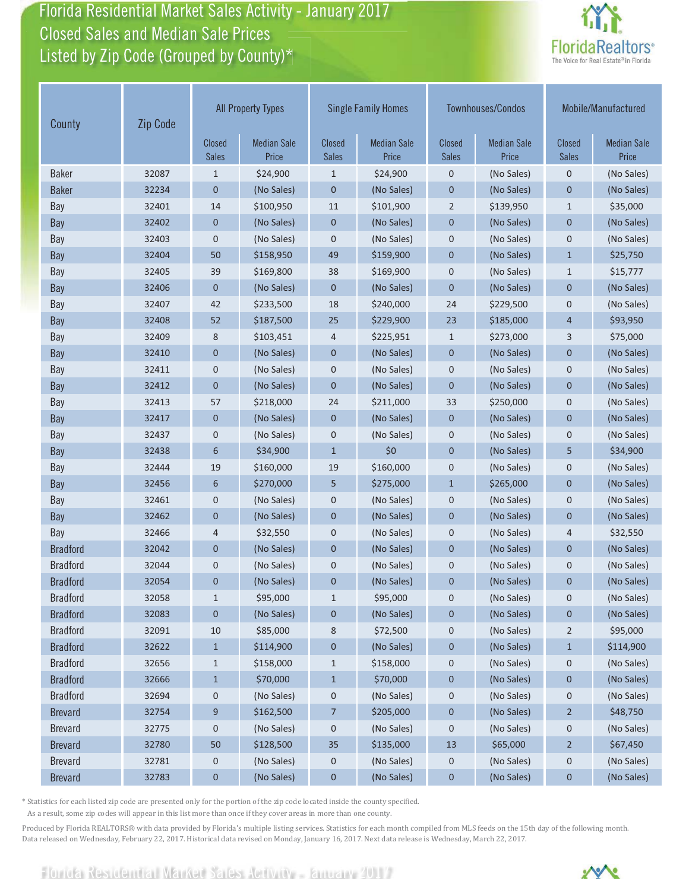Florida Residential Market Sales Activity - January 2017 Florida Residential Market Sales Activity Closed Sales and Median Sale Prices<br>Listed by Zip Code (Grouped by County)\*



| Zip Code<br>County |       |                               | <b>All Property Types</b>   |                        | <b>Single Family Homes</b>  | <b>Townhouses/Condos</b>      |                             | Mobile/Manufactured           |                             |
|--------------------|-------|-------------------------------|-----------------------------|------------------------|-----------------------------|-------------------------------|-----------------------------|-------------------------------|-----------------------------|
|                    |       | <b>Closed</b><br><b>Sales</b> | <b>Median Sale</b><br>Price | Closed<br><b>Sales</b> | <b>Median Sale</b><br>Price | <b>Closed</b><br><b>Sales</b> | <b>Median Sale</b><br>Price | <b>Closed</b><br><b>Sales</b> | <b>Median Sale</b><br>Price |
| <b>Baker</b>       | 32087 | 1                             | \$24,900                    | $\mathbf{1}$           | \$24,900                    | $\mathbf 0$                   | (No Sales)                  | $\mathbf 0$                   | (No Sales)                  |
| <b>Baker</b>       | 32234 | $\mathbf 0$                   | (No Sales)                  | $\mathbf 0$            | (No Sales)                  | $\mathbf 0$                   | (No Sales)                  | $\mathbf 0$                   | (No Sales)                  |
| Bay                | 32401 | 14                            | \$100,950                   | 11                     | \$101,900                   | $\overline{2}$                | \$139,950                   | $\mathbf{1}$                  | \$35,000                    |
| <b>Bay</b>         | 32402 | $\mathbf 0$                   | (No Sales)                  | $\mathbf 0$            | (No Sales)                  | $\mathbf 0$                   | (No Sales)                  | $\mathbf 0$                   | (No Sales)                  |
| Bay                | 32403 | $\mathbf 0$                   | (No Sales)                  | $\mathbf 0$            | (No Sales)                  | $\mathbf 0$                   | (No Sales)                  | $\mathbf 0$                   | (No Sales)                  |
| <b>Bay</b>         | 32404 | 50                            | \$158,950                   | 49                     | \$159,900                   | $\mathbf 0$                   | (No Sales)                  | $\mathbf{1}$                  | \$25,750                    |
| Bay                | 32405 | 39                            | \$169,800                   | 38                     | \$169,900                   | $\mathbf 0$                   | (No Sales)                  | $\mathbf{1}$                  | \$15,777                    |
| <b>Bay</b>         | 32406 | $\mathbf 0$                   | (No Sales)                  | $\mathbf 0$            | (No Sales)                  | $\mathbf 0$                   | (No Sales)                  | $\mathbf 0$                   | (No Sales)                  |
| Bay                | 32407 | 42                            | \$233,500                   | 18                     | \$240,000                   | 24                            | \$229,500                   | $\mathbf 0$                   | (No Sales)                  |
| Bay                | 32408 | 52                            | \$187,500                   | 25                     | \$229,900                   | 23                            | \$185,000                   | $\overline{4}$                | \$93,950                    |
| Bay                | 32409 | 8                             | \$103,451                   | 4                      | \$225,951                   | $\mathbf{1}$                  | \$273,000                   | 3                             | \$75,000                    |
| <b>Bay</b>         | 32410 | $\mathbf 0$                   | (No Sales)                  | $\mathbf 0$            | (No Sales)                  | $\mathbf 0$                   | (No Sales)                  | $\mathbf 0$                   | (No Sales)                  |
| Bay                | 32411 | 0                             | (No Sales)                  | $\mathbf 0$            | (No Sales)                  | $\mathbf 0$                   | (No Sales)                  | 0                             | (No Sales)                  |
| <b>Bay</b>         | 32412 | $\mathbf 0$                   | (No Sales)                  | $\mathbf 0$            | (No Sales)                  | $\mathbf{0}$                  | (No Sales)                  | $\mathbf 0$                   | (No Sales)                  |
| Bay                | 32413 | 57                            | \$218,000                   | 24                     | \$211,000                   | 33                            | \$250,000                   | $\mathbf 0$                   | (No Sales)                  |
| <b>Bay</b>         | 32417 | $\mathbf 0$                   | (No Sales)                  | $\mathbf 0$            | (No Sales)                  | $\mathbf 0$                   | (No Sales)                  | 0                             | (No Sales)                  |
| Bay                | 32437 | $\pmb{0}$                     | (No Sales)                  | $\mathbf 0$            | (No Sales)                  | $\mathbf 0$                   | (No Sales)                  | 0                             | (No Sales)                  |
| Bay                | 32438 | 6                             | \$34,900                    | $\mathbf{1}$           | \$0                         | $\mathbf 0$                   | (No Sales)                  | 5                             | \$34,900                    |
| Bay                | 32444 | 19                            | \$160,000                   | 19                     | \$160,000                   | $\mathbf 0$                   | (No Sales)                  | $\mathbf 0$                   | (No Sales)                  |
| Bay                | 32456 | 6                             | \$270,000                   | 5                      | \$275,000                   | $\mathbf{1}$                  | \$265,000                   | $\overline{0}$                | (No Sales)                  |
| Bay                | 32461 | 0                             | (No Sales)                  | $\mathbf 0$            | (No Sales)                  | $\mathbf 0$                   | (No Sales)                  | 0                             | (No Sales)                  |
| <b>Bay</b>         | 32462 | $\mathbf{0}$                  | (No Sales)                  | $\mathbf{0}$           | (No Sales)                  | $\overline{0}$                | (No Sales)                  | $\overline{0}$                | (No Sales)                  |
| Bay                | 32466 | 4                             | \$32,550                    | $\mathbf 0$            | (No Sales)                  | 0                             | (No Sales)                  | 4                             | \$32,550                    |
| <b>Bradford</b>    | 32042 | $\mathbf 0$                   | (No Sales)                  | $\mathbf 0$            | (No Sales)                  | $\mathbf{0}$                  | (No Sales)                  | $\mathbf 0$                   | (No Sales)                  |
| <b>Bradford</b>    | 32044 | $\pmb{0}$                     | (No Sales)                  | $\mathbf 0$            | (No Sales)                  | $\mathbf 0$                   | (No Sales)                  | 0                             | (No Sales)                  |
| <b>Bradford</b>    | 32054 | $\mathbf 0$                   | (No Sales)                  | $\pmb{0}$              | (No Sales)                  | $\mathbf 0$                   | (No Sales)                  | 0                             | (No Sales)                  |
| <b>Bradford</b>    | 32058 | $1\,$                         | \$95,000                    | $\mathbf{1}$           | \$95,000                    | 0                             | (No Sales)                  | 0                             | (No Sales)                  |
| <b>Bradford</b>    | 32083 | $\boldsymbol{0}$              | (No Sales)                  | $\mathbf 0$            | (No Sales)                  | $\mathbf 0$                   | (No Sales)                  | 0                             | (No Sales)                  |
| <b>Bradford</b>    | 32091 | 10                            | \$85,000                    | 8                      | \$72,500                    | $\mathbf 0$                   | (No Sales)                  | $\overline{2}$                | \$95,000                    |
| <b>Bradford</b>    | 32622 | $\mathbf{1}$                  | \$114,900                   | $\mathbf 0$            | (No Sales)                  | $\mathbf 0$                   | (No Sales)                  | $\mathbf{1}$                  | \$114,900                   |
| <b>Bradford</b>    | 32656 | $\mathbf{1}$                  | \$158,000                   | $\mathbf{1}$           | \$158,000                   | 0                             | (No Sales)                  | $\boldsymbol{0}$              | (No Sales)                  |
| <b>Bradford</b>    | 32666 | $\mathbf{1}$                  | \$70,000                    | $\mathbf{1}$           | \$70,000                    | $\mathbf 0$                   | (No Sales)                  | 0                             | (No Sales)                  |
| <b>Bradford</b>    | 32694 | 0                             | (No Sales)                  | $\boldsymbol{0}$       | (No Sales)                  | $\mathbf 0$                   | (No Sales)                  | 0                             | (No Sales)                  |
| <b>Brevard</b>     | 32754 | 9                             | \$162,500                   | $\overline{7}$         | \$205,000                   | $\pmb{0}$                     | (No Sales)                  | $\overline{2}$                | \$48,750                    |
| <b>Brevard</b>     | 32775 | 0                             | (No Sales)                  | 0                      | (No Sales)                  | 0                             | (No Sales)                  | 0                             | (No Sales)                  |
| <b>Brevard</b>     | 32780 | 50                            | \$128,500                   | 35                     | \$135,000                   | 13                            | \$65,000                    | $\overline{2}$                | \$67,450                    |
| <b>Brevard</b>     | 32781 | 0                             | (No Sales)                  | $\mathbf 0$            | (No Sales)                  | $\mathbf 0$                   | (No Sales)                  | 0                             | (No Sales)                  |
| <b>Brevard</b>     | 32783 | $\pmb{0}$                     | (No Sales)                  | $\pmb{0}$              | (No Sales)                  | $\pmb{0}$                     | (No Sales)                  | $\mathbf 0$                   | (No Sales)                  |

\* Statistics for each listed zip code are presented only for the portion of the zip code located inside the county specified.

As a result, some zip codes will appear in this list more than once if they cover areas in more than one county.

Produced by Florida REALTORS® with data provided by Florida's multiple listing services. Statistics for each month compiled from MLS feeds on the 15th day of the following month. Data released on Wednesday, February 22, 2017. Historical data revised on Monday, January 16, 2017. Next data release is Wednesday, March 22, 2017.

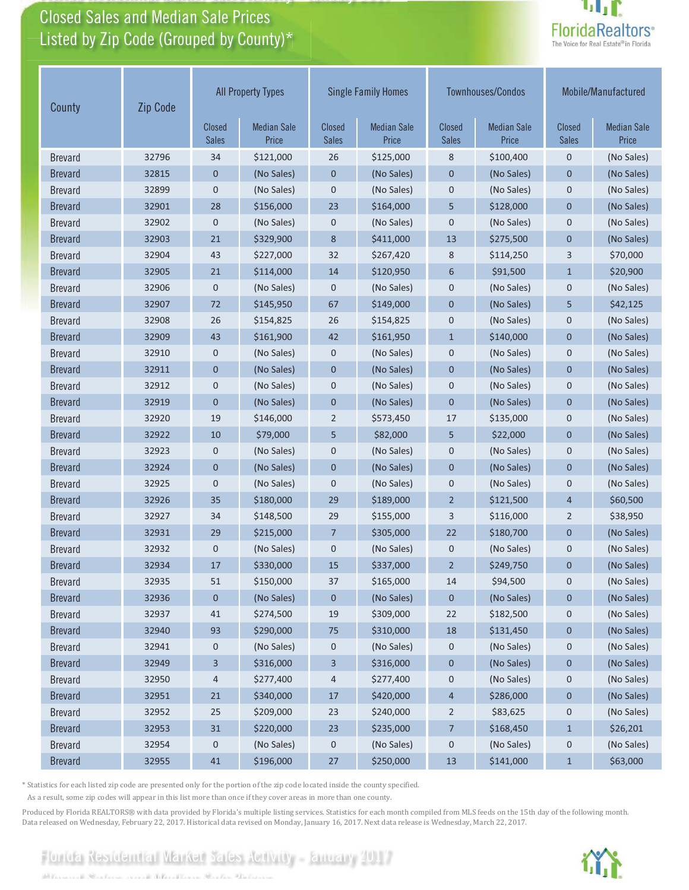# Closed Sales and Median Sale Prices<br>Listed by Zip Code (Grouped by County)\*

Florida Residential Market Sales Activity

Florida Residential Market Sales Activity January 2017



| Zip Code<br>County |       | <b>All Property Types</b>     |                             | <b>Single Family Homes</b> |                             | Townhouses/Condos      |                             | Mobile/Manufactured    |                             |
|--------------------|-------|-------------------------------|-----------------------------|----------------------------|-----------------------------|------------------------|-----------------------------|------------------------|-----------------------------|
|                    |       | <b>Closed</b><br><b>Sales</b> | <b>Median Sale</b><br>Price | Closed<br><b>Sales</b>     | <b>Median Sale</b><br>Price | Closed<br><b>Sales</b> | <b>Median Sale</b><br>Price | Closed<br><b>Sales</b> | <b>Median Sale</b><br>Price |
| <b>Brevard</b>     | 32796 | 34                            | \$121,000                   | 26                         | \$125,000                   | 8                      | \$100,400                   | $\mathbf 0$            | (No Sales)                  |
| <b>Brevard</b>     | 32815 | $\mathbf 0$                   | (No Sales)                  | 0                          | (No Sales)                  | $\mathbf 0$            | (No Sales)                  | $\mathbf 0$            | (No Sales)                  |
| <b>Brevard</b>     | 32899 | $\mathbf 0$                   | (No Sales)                  | $\mathbf 0$                | (No Sales)                  | $\mathbf 0$            | (No Sales)                  | 0                      | (No Sales)                  |
| <b>Brevard</b>     | 32901 | 28                            | \$156,000                   | 23                         | \$164,000                   | 5                      | \$128,000                   | $\overline{0}$         | (No Sales)                  |
| <b>Brevard</b>     | 32902 | 0                             | (No Sales)                  | $\mathbf 0$                | (No Sales)                  | 0                      | (No Sales)                  | 0                      | (No Sales)                  |
| <b>Brevard</b>     | 32903 | 21                            | \$329,900                   | 8                          | \$411,000                   | 13                     | \$275,500                   | $\overline{0}$         | (No Sales)                  |
| <b>Brevard</b>     | 32904 | 43                            | \$227,000                   | 32                         | \$267,420                   | 8                      | \$114,250                   | 3                      | \$70,000                    |
| <b>Brevard</b>     | 32905 | 21                            | \$114,000                   | 14                         | \$120,950                   | 6                      | \$91,500                    | $\mathbf{1}$           | \$20,900                    |
| <b>Brevard</b>     | 32906 | $\pmb{0}$                     | (No Sales)                  | $\mathbf 0$                | (No Sales)                  | $\mathbf 0$            | (No Sales)                  | $\mathbf 0$            | (No Sales)                  |
| <b>Brevard</b>     | 32907 | 72                            | \$145,950                   | 67                         | \$149,000                   | $\mathbf 0$            | (No Sales)                  | 5                      | \$42,125                    |
| <b>Brevard</b>     | 32908 | 26                            | \$154,825                   | 26                         | \$154,825                   | $\mathbf 0$            | (No Sales)                  | 0                      | (No Sales)                  |
| <b>Brevard</b>     | 32909 | 43                            | \$161,900                   | 42                         | \$161,950                   | $\mathbf{1}$           | \$140,000                   | $\mathbf{0}$           | (No Sales)                  |
| <b>Brevard</b>     | 32910 | $\mathbf 0$                   | (No Sales)                  | $\mathbf 0$                | (No Sales)                  | $\mathbf 0$            | (No Sales)                  | 0                      | (No Sales)                  |
| <b>Brevard</b>     | 32911 | $\mathbf 0$                   | (No Sales)                  | $\mathbf 0$                | (No Sales)                  | $\mathbf 0$            | (No Sales)                  | $\mathbf 0$            | (No Sales)                  |
| <b>Brevard</b>     | 32912 | $\mathbf 0$                   | (No Sales)                  | $\mathbf 0$                | (No Sales)                  | $\mathbf 0$            | (No Sales)                  | 0                      | (No Sales)                  |
| <b>Brevard</b>     | 32919 | $\overline{0}$                | (No Sales)                  | $\mathbf 0$                | (No Sales)                  | $\mathbf{0}$           | (No Sales)                  | $\mathbf{0}$           | (No Sales)                  |
| <b>Brevard</b>     | 32920 | 19                            | \$146,000                   | $\overline{2}$             | \$573,450                   | 17                     | \$135,000                   | $\overline{0}$         | (No Sales)                  |
| <b>Brevard</b>     | 32922 | 10                            | \$79,000                    | 5                          | \$82,000                    | 5                      | \$22,000                    | $\overline{0}$         | (No Sales)                  |
| <b>Brevard</b>     | 32923 | 0                             | (No Sales)                  | $\mathbf 0$                | (No Sales)                  | $\mathbf 0$            | (No Sales)                  | 0                      | (No Sales)                  |
| <b>Brevard</b>     | 32924 | $\mathbf 0$                   | (No Sales)                  | $\mathbf 0$                | (No Sales)                  | $\mathbf{0}$           | (No Sales)                  | $\mathbf{0}$           | (No Sales)                  |
| <b>Brevard</b>     | 32925 | $\mathbf 0$                   | (No Sales)                  | $\mathbf 0$                | (No Sales)                  | $\mathbf 0$            | (No Sales)                  | 0                      | (No Sales)                  |
| <b>Brevard</b>     | 32926 | 35                            | \$180,000                   | 29                         | \$189,000                   | $\overline{2}$         | \$121,500                   | $\overline{4}$         | \$60,500                    |
| <b>Brevard</b>     | 32927 | 34                            | \$148,500                   | 29                         | \$155,000                   | 3                      | \$116,000                   | $\overline{2}$         | \$38,950                    |
| <b>Brevard</b>     | 32931 | 29                            | \$215,000                   | $\overline{7}$             | \$305,000                   | 22                     | \$180,700                   | 0                      | (No Sales)                  |
| <b>Brevard</b>     | 32932 | $\mathbf 0$                   | (No Sales)                  | $\mathbf 0$                | (No Sales)                  | $\mathbf 0$            | (No Sales)                  | $\mathbf 0$            | (No Sales)                  |
| <b>Brevard</b>     | 32934 | 17                            | \$330,000                   | 15                         | \$337,000                   | $\overline{2}$         | \$249,750                   | 0                      | (No Sales)                  |
| <b>Brevard</b>     | 32935 | 51                            | \$150,000                   | 37                         | \$165,000                   | $14\,$                 | \$94,500                    | 0                      | (No Sales)                  |
| <b>Brevard</b>     | 32936 | $\pmb{0}$                     | (No Sales)                  | 0                          | (No Sales)                  | $\mathbf 0$            | (No Sales)                  | $\pmb{0}$              | (No Sales)                  |
| <b>Brevard</b>     | 32937 | 41                            | \$274,500                   | 19                         | \$309,000                   | 22                     | \$182,500                   | 0                      | (No Sales)                  |
| <b>Brevard</b>     | 32940 | 93                            | \$290,000                   | 75                         | \$310,000                   | $18\,$                 | \$131,450                   | 0                      | (No Sales)                  |
| <b>Brevard</b>     | 32941 | 0                             | (No Sales)                  | $\boldsymbol{0}$           | (No Sales)                  | 0                      | (No Sales)                  | 0                      | (No Sales)                  |
| <b>Brevard</b>     | 32949 | 3                             | \$316,000                   | $\mathsf{3}$               | \$316,000                   | $\pmb{0}$              | (No Sales)                  | $\pmb{0}$              | (No Sales)                  |
| <b>Brevard</b>     | 32950 | 4                             | \$277,400                   | 4                          | \$277,400                   | 0                      | (No Sales)                  | 0                      | (No Sales)                  |
| <b>Brevard</b>     | 32951 | 21                            | \$340,000                   | 17                         | \$420,000                   | $\overline{a}$         | \$286,000                   | 0                      | (No Sales)                  |
| <b>Brevard</b>     | 32952 | 25                            | \$209,000                   | 23                         | \$240,000                   | 2                      | \$83,625                    | 0                      | (No Sales)                  |
| <b>Brevard</b>     | 32953 | 31                            | \$220,000                   | 23                         | \$235,000                   | 7                      | \$168,450                   | $\mathbf{1}$           | \$26,201                    |
| <b>Brevard</b>     | 32954 | 0                             | (No Sales)                  | $\mathbf 0$                | (No Sales)                  | $\mathbf 0$            | (No Sales)                  | 0                      | (No Sales)                  |
| <b>Brevard</b>     | 32955 | 41                            | \$196,000                   | 27                         | \$250,000                   | 13                     | \$141,000                   | $\mathbf{1}$           | \$63,000                    |

\* Statistics for each listed zip code are presented only for the portion of the zip code located inside the county specified.

As a result, some zip codes will appear in this list more than once if they cover areas in more than one county.

Produced by Florida REALTORS® with data provided by Florida's multiple listing services. Statistics for each month compiled from MLS feeds on the 15th day of the following month. Data released on Wednesday, February 22, 2017. Historical data revised on Monday, January 16, 2017. Next data release is Wednesday, March 22, 2017.

Florida Residential Market Sales Activity - January 2017